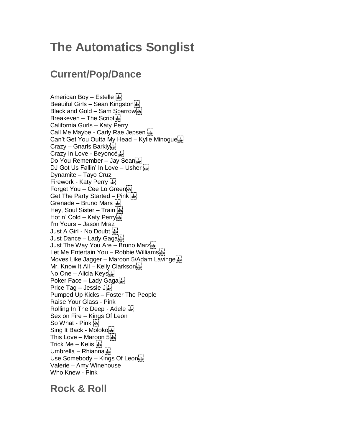# **The Automatics Songlist**

## **Current/Pop/Dance**

American Boy – Estelle Beauiful Girls - Sean Kingston Black and Gold – Sam Sparrow Breakeven – The Script California Gurls – Katy Perry Call Me Maybe - Carly Rae Jepsen Can't Get You Outta My Head – Kylie Minogue Crazy – Gnarls Barkly Crazy In Love - Beyoncé Do You Remember - Jay Sean DJ Got Us Fallin' In Love - Usher Dynamite – Tayo Cruz Firework - Katy Perry Forget You – Cee Lo Green Get The Party Started – Pink Grenade – Bruno Mars Hey, Soul Sister – Train Hot n' Cold – Katy Perry I'm Yours – Jason Mraz Just A Girl - No Doubt Just Dance – Lady Gaga Just The Way You Are – Bruno Marz Let Me Entertain You - Robbie Williams Moves Like Jagger – Maroon 5/Adam Lavinge Mr. Know It All - Kelly Clarkson No One – Alicia Keys Poker Face – Lady Gaga Price Tag – Jessie J Pumped Up Kicks – Foster The People Raise Your Glass - Pink Rolling In The Deep - Adele Sex on Fire – Kings Of Leon So What - Pink Sing It Back - Molokoster This Love – Maroon 5 Trick Me – Kelis  $\sum_{s}$ Umbrella – Rhianna Use Somebody – Kings Of Leon Valerie – Amy Winehouse Who Knew - Pink

**Rock & Roll**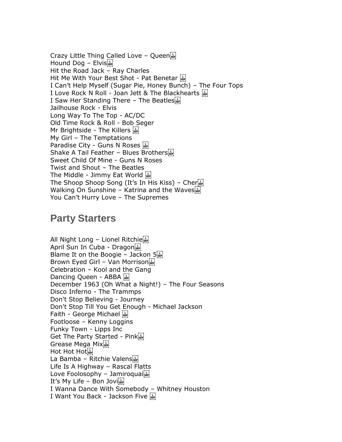Crazy Little Thing Called Love - Queen Hound Dog – Elvis Hit the Road Jack – Ray Charles Hit Me With Your Best Shot - Pat Benetar I Can't Help Myself (Sugar Pie, Honey Bunch) – The Four Tops I Love Rock N Roll - Joan Jett & The Blackhearts  $\frac{1}{|SE|}$ I Saw Her Standing There – The Beatles Jailhouse Rock - Elvis Long Way To The Top - AC/DC Old Time Rock & Roll - Bob Seger Mr Brightside - The Killers My Girl – The Temptations Paradise City - Guns N Roses  $\frac{1}{2}$ Shake A Tail Feather – Blues Brothers Sweet Child Of Mine - Guns N Roses Twist and Shout – The Beatles The Middle - Jimmy Eat World The Shoop Shoop Song (It's In His Kiss) – Cher Walking On Sunshine – Katrina and the Waves You Can't Hurry Love – The Supremes

## **Party Starters**

All Night Long – Lionel Ritchie April Sun In Cuba - Dragon Blame It on the Boogie – Jackon  $5!_{\text{SSE}}$ Brown Eyed Girl – Van Morrison Celebration – Kool and the Gang Dancing Queen - ABBA December 1963 (Oh What a Night!) – The Four Seasons Disco Inferno - The Trammps Don't Stop Believing - Journey Don't Stop Till You Get Enough - Michael Jackson Faith - George Michael Footloose – Kenny Loggins Funky Town - Lipps Inc Get The Party Started - Pink Grease Mega Mix Hot Hot Hotisti La Bamba – Ritchie Valens Life Is A Highway – Rascal Flatts Love Foolosophy - Jamiroquaist It's My Life – Bon Jovi I Wanna Dance With Somebody – Whitney Houston I Want You Back - Jackson Five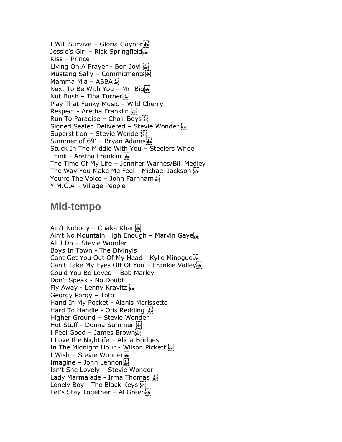I Will Survive – Gloria Gaynor Jessie's Girl - Rick Springfieldister Kiss – Prince Living On A Prayer - Bon Jovi Mustang Sally – Commitments Mamma Mia – ABBA Next To Be With You – Mr. Big $\frac{1}{2}$ Nut Bush – Tina Turner Play That Funky Music – Wild Cherry Respect - Aretha Franklin Run To Paradise – Choir Boys Signed Sealed Delivered – Stevie Wonder Superstition – Stevie Wonder Summer of 69' – Bryan Adams Stuck In The Middle With You – Steelers Wheel Think - Aretha Franklin The Time Of My Life – Jennifer Warnes/Bill Medley The Way You Make Me Feel - Michael Jackson You're The Voice - John Farnham Y.M.C.A – Village People

#### **Mid-tempo**

Ain't Nobody – Chaka Khan Ain't No Mountain High Enough – Marvin Gaye All I Do – Stevie Wonder Boys In Town - The Divinyls Cant Get You Out Of My Head - Kylie Minogue Can't Take My Eyes Off Of You – Frankie Valley Could You Be Loved – Bob Marley Don't Speak - No Doubt Fly Away - Lenny Kravitz Georgy Porgy – Toto Hand In My Pocket - Alanis Morissette Hard To Handle - Otis Redding Higher Ground – Stevie Wonder Hot Stuff - Donna Summer I Feel Good – James Brown I Love the Nightlife – Alicia Bridges In The Midnight Hour - Wilson Pickett I Wish – Stevie Wonder Imagine – John Lennon Isn't She Lovely – Stevie Wonder Lady Marmalade - Irma Thomas Lonely Boy - The Black Keys  $\frac{1}{|S|}$ Let's Stay Together – Al Green